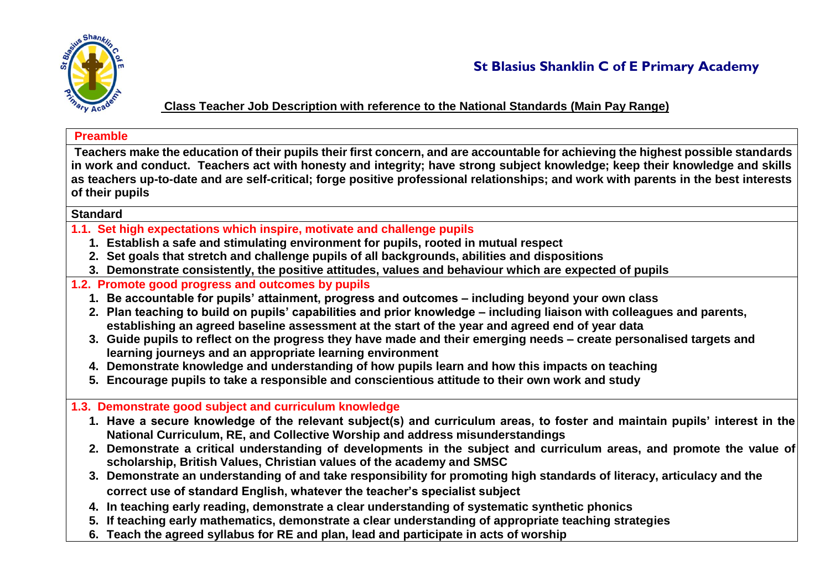

**Class Teacher Job Description with reference to the National Standards (Main Pay Range)**

## **Preamble**

**Teachers make the education of their pupils their first concern, and are accountable for achieving the highest possible standards in work and conduct. Teachers act with honesty and integrity; have strong subject knowledge; keep their knowledge and skills as teachers up-to-date and are self-critical; forge positive professional relationships; and work with parents in the best interests of their pupils** 

## **Standard**

- **1.1. Set high expectations which inspire, motivate and challenge pupils** 
	- **1. Establish a safe and stimulating environment for pupils, rooted in mutual respect**
	- **2. Set goals that stretch and challenge pupils of all backgrounds, abilities and dispositions**
	- **3. Demonstrate consistently, the positive attitudes, values and behaviour which are expected of pupils**
- **1.2. Promote good progress and outcomes by pupils** 
	- **1. Be accountable for pupils' attainment, progress and outcomes – including beyond your own class**
	- **2. Plan teaching to build on pupils' capabilities and prior knowledge – including liaison with colleagues and parents, establishing an agreed baseline assessment at the start of the year and agreed end of year data**
	- **3. Guide pupils to reflect on the progress they have made and their emerging needs – create personalised targets and learning journeys and an appropriate learning environment**
	- **4. Demonstrate knowledge and understanding of how pupils learn and how this impacts on teaching**
	- **5. Encourage pupils to take a responsible and conscientious attitude to their own work and study**
- **1.3. Demonstrate good subject and curriculum knowledge** 
	- **1. Have a secure knowledge of the relevant subject(s) and curriculum areas, to foster and maintain pupils' interest in the National Curriculum, RE, and Collective Worship and address misunderstandings**
	- **2. Demonstrate a critical understanding of developments in the subject and curriculum areas, and promote the value of scholarship, British Values, Christian values of the academy and SMSC**
	- **3. Demonstrate an understanding of and take responsibility for promoting high standards of literacy, articulacy and the correct use of standard English, whatever the teacher's specialist subject**
	- **4. In teaching early reading, demonstrate a clear understanding of systematic synthetic phonics**
	- **5. If teaching early mathematics, demonstrate a clear understanding of appropriate teaching strategies**
	- **6. Teach the agreed syllabus for RE and plan, lead and participate in acts of worship**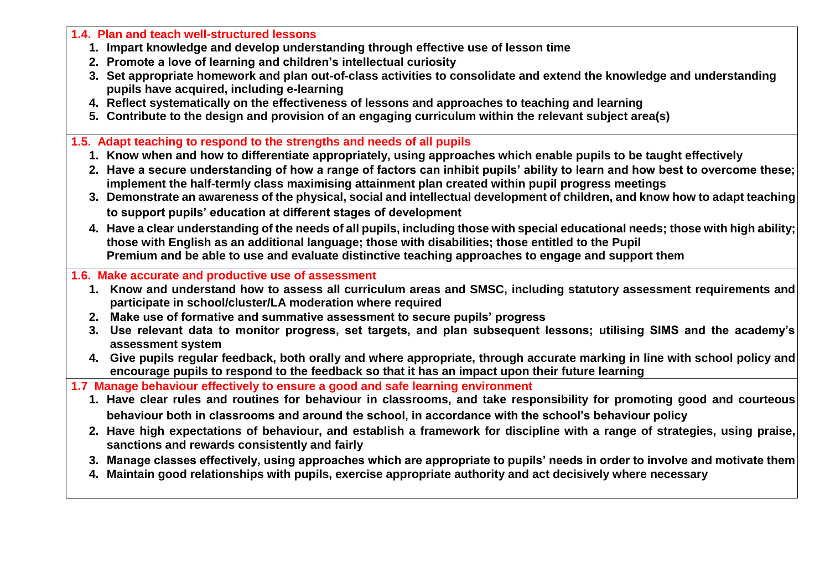**1.4. Plan and teach well-structured lessons** 

- **1. Impart knowledge and develop understanding through effective use of lesson time**
- **2. Promote a love of learning and children's intellectual curiosity**
- **3. Set appropriate homework and plan out-of-class activities to consolidate and extend the knowledge and understanding pupils have acquired, including e-learning**
- **4. Reflect systematically on the effectiveness of lessons and approaches to teaching and learning**
- **5. Contribute to the design and provision of an engaging curriculum within the relevant subject area(s)**
- **1.5. Adapt teaching to respond to the strengths and needs of all pupils** 
	- **1. Know when and how to differentiate appropriately, using approaches which enable pupils to be taught effectively**
	- **2. Have a secure understanding of how a range of factors can inhibit pupils' ability to learn and how best to overcome these; implement the half-termly class maximising attainment plan created within pupil progress meetings**
	- **3. Demonstrate an awareness of the physical, social and intellectual development of children, and know how to adapt teaching to support pupils' education at different stages of development**
	- **4. Have a clear understanding of the needs of all pupils, including those with special educational needs; those with high ability; those with English as an additional language; those with disabilities; those entitled to the Pupil Premium and be able to use and evaluate distinctive teaching approaches to engage and support them**

**1.6. Make accurate and productive use of assessment** 

- **1. Know and understand how to assess all curriculum areas and SMSC, including statutory assessment requirements and participate in school/cluster/LA moderation where required**
- **2. Make use of formative and summative assessment to secure pupils' progress**
- **3. Use relevant data to monitor progress, set targets, and plan subsequent lessons; utilising SIMS and the academy's assessment system**
- **4. Give pupils regular feedback, both orally and where appropriate, through accurate marking in line with school policy and encourage pupils to respond to the feedback so that it has an impact upon their future learning**

**1.7 Manage behaviour effectively to ensure a good and safe learning environment** 

- **1. Have clear rules and routines for behaviour in classrooms, and take responsibility for promoting good and courteous behaviour both in classrooms and around the school, in accordance with the school's behaviour policy**
- **2. Have high expectations of behaviour, and establish a framework for discipline with a range of strategies, using praise, sanctions and rewards consistently and fairly**
- **3. Manage classes effectively, using approaches which are appropriate to pupils' needs in order to involve and motivate them**
- **4. Maintain good relationships with pupils, exercise appropriate authority and act decisively where necessary**